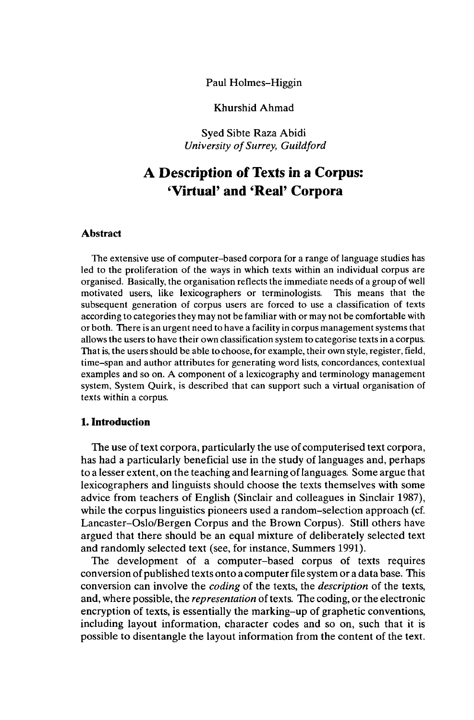Paul Holmes-Higgin

Khurshid Ahmad

Syed Sibte Raza Abidi *University of Surrey, Guildford*

# **A Description of Texts in a Corpus: 'Virtual' and 'Real' Corpora**

## **Abstract**

The extensive use of computer-based corpora for a range of language studies has led to the proliferation of the ways in which texts within an individual corpus are organised. Basically, the organisation reflects the immediate needs of a group of well motivated users, like lexicographers or terminologists. This means that the subsequent generation of corpus users are forced to use a classification of texts according to categories they may not be familiar with or may not be comfortable with or both. There is an urgent need to have a facility in corpus management systems that allows the users to have their own classification system to categorise texts in a corpus. That is, the users should be able to choose, for example, their own style, register, field, time-span and author attributes for generating word lists, concordances, contextual examples and so on. A component of a lexicography and terminology management system, System Quirk, is described that can support such a virtual organisation of texts within a corpus.

# **1. Introduction**

The use of text corpora, particularly the use of computerised text corpora, has had a particularly beneficial use in the study of languages and, perhaps to a lesser extent, on the teaching and learning oflanguages. Some argue that lexicographers and linguists should choose the texts themselves with some advice from teachers of English (Sinclair and colleagues in Sinclair 1987), while the corpus linguistics pioneers used a random-selection approach (cf. Lancaster-Oslo/Bergen Corpus and the Brown Corpus). Still others have argued that there should be an equal mixture of deliberately selected text and randomly selected text (see, for instance, Summers 1991).

The development of a computer-based corpus of texts requires conversion of published texts onto a computerfile system or a data base. This conversion can involve the *coding* of the texts, the *description* of the texts, and, where possible, the *representation* of texts. The coding, or the electronic encryption of texts, is essentially the marking-up of graphetic conventions, including layout information, character codes and so on, such that it is possible to disentangle the layout information from the content of the text.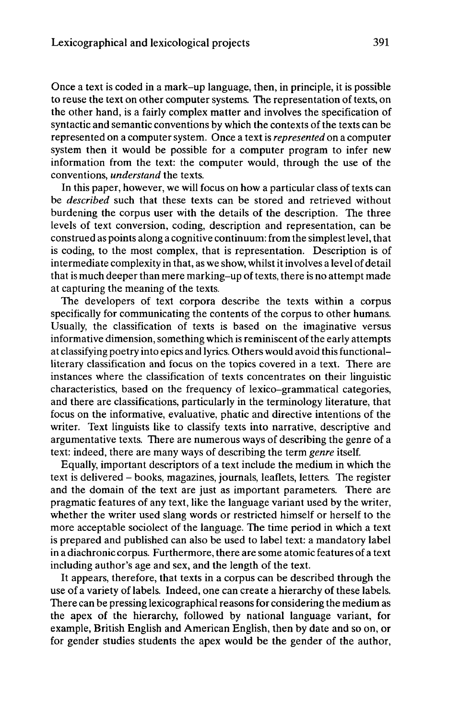Once a text is coded in a mark-up language, then, in principle, it is possible to reuse the text on other computer systems. The representation of texts, on the other hand, is a fairly complex matter and involves the specification of syntactic and semantic conventions by which the contexts of the texts can be represented on a computer system. Once a textis *represented* on a computer system then it would be possible for a computer program to infer new information from the text: the computer would, through the use of the conventions, *understand* the texts.

In this paper, however, we will focus on how a particular class of texts can be *described* such that these texts can be stored and retrieved without burdening the corpus user with the details of the description. The three levels of text conversion, coding, description and representation, can be construed as points along a cognitive continuum: from the simplest level, that is coding, to the most complex, that is representation. Description is of intermediate complexity in that, as we show, whilst it involves a level of detail that is much deeper than mere marking-up of texts, there is no attempt made at capturing the meaning of the texts.

The developers of text corpora describe the texts within a corpus specifically for communicating the contents of the corpus to other humans. Usually, the classification of texts is based on the imaginative versus informative dimension, something which is reminiscent of the early attempts at classifying poetry into epics and lyrics. Others would avoid thisfunctionalliterary classification and focus on the topics covered in a text. There are instances where the classification of texts concentrates on their linguistic characteristics, based on the frequency of lexico-grammatical categories, and there are classifications, particularly in the terminology literature, that focus on the informative, evaluative, phatic and directive intentions of the writer. Text linguists like to classify texts into narrative, descriptive and argumentative texts. There are numerous ways of describing the genre of a text: indeed, there are many ways of describing the term *genre* itself.

Equally, important descriptors of a text include the medium in which the text is delivered - books, magazines, journals, leaflets, letters. The register and the domain of the text are just as important parameters. There are pragmatic features of any text, like the language variant used by the writer, whether the writer used slang words or restricted himself or herself to the more acceptable sociolect of the language. The time period in which a text is prepared and published can also be used to label text: a mandatory label in a diachronic corpus. Furthermore, there are some atomic features of a text including author's age and sex, and the length of the text.

It appears, therefore, that texts in a corpus can be described through the use of a variety of labels. Indeed, one can create a hierarchy of these labels. There can be pressing lexicographical reasons for considering the medium as the apex of the hierarchy, followed by national language variant, for example, British English and American English, then by date and so on, or for gender studies students the apex would be the gender of the author,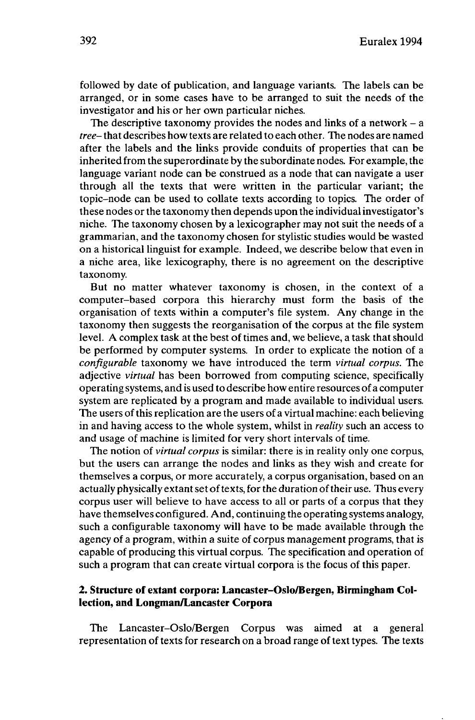followed by date of publication, and language variants. The labels can be arranged, or in some cases have to be arranged to suit the needs of the investigator and his or her own particular niches.

The descriptive taxonomy provides the nodes and links of a network  $- a$ *tree-*that describes how texts are related to each other. The nodes are named after the labels and the links provide conduits of properties that can be inherited from the superordinate by the subordinate nodes. For example, the language variant node can be construed as a node that can navigate a user through all the texts that were written in the particular variant; the topic-node can be used to collate texts according to topics. The order of these nodes or the taxonomy then depends upon the individualinvestigator's niche. The taxonomy chosen by a lexicographer may not suit the needs of a grammarian, and the taxonomy chosen for stylistic studies would be wasted on a historical linguist for example. Indeed, we describe below that even in a niche area, like lexicography, there is no agreement on the descriptive taxonomy.

But no matter whatever taxonomy is chosen, in the context of a computer-based corpora this hierarchy must form the basis of the organisation of texts within a computer's file system. Any change in the taxonomy then suggests the reorganisation of the corpus at the file system level. A complex task at the best of times and, we believe, a task that should be performed by computer systems. In order to explicate the notion of a *configurable* taxonomy we have introduced the term *virtual corpus.* The adjective *virtual* has been borrowed from computing science, specifically operating systems, and is used to describe how entire resources of a computer system are replicated by a program and made available to individual users. The users of this replication are the users of a virtual machine: each believing in and having access to the whole system, whilst in *reality* such an access to and usage of machine is limited for very short intervals of time.

The notion of *virtual corpus* is similar: there is in reality only one corpus, but the users can arrange the nodes and links as they wish and create for themselves a corpus, or more accurately, a corpus organisation, based on an actually physically extant set of texts, for the duration of their use. Thus every corpus user will believe to have access to all or parts of a corpus that they have themselves configured. And, continuing the operating systems analogy, such a configurable taxonomy will have to be made available through the agency of a program, within a suite of corpus management programs, that is capable of producing this virtual corpus. The specification and operation of such a program that can create virtual corpora is the focus of this paper.

## **2. Structure of extant corpora: Lancaster-Oslo/Bergen, Birmingham Collection, and Longman/Lancaster Corpora**

The Lancaster-Oslo/Bergen Corpus was aimed at a general representation of texts for research on a broad range of text types. The texts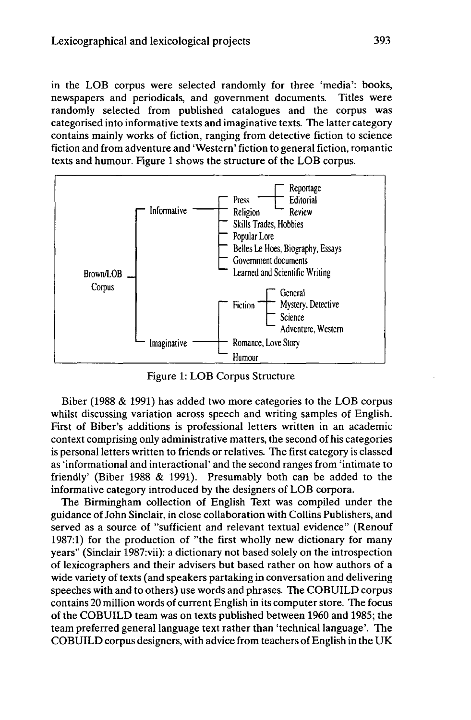in the LOB corpus were selected randomly for three 'media': books, newspapers and periodicals, and government documents. Titles were randomly selected from published catalogues and the corpus was categorised into informative texts and imaginative texts. The latter category contains mainly works of fiction, ranging from detective fiction to science fiction and from adventure and 'Western' fiction to general fiction, romantic texts and humour. Figure <sup>1</sup> shows the structure of the LOB corpus.



Figure 1: LOB Corpus Structure

Biber (1988 & 1991) has added two more categories to the LOB corpus whilst discussing variation across speech and writing samples of English. First of Biber's additions is professional letters written in an academic context comprising only administrative matters, the second of his categories is personal letters written to friends or relatives. The first category is classed as 'informational and interactional' and the second ranges from 'intimate to friendly' (Biber 1988 & 1991). Presumably both can be added to the informative category introduced by the designers of LOB corpora.

The Birmingham collection of English Text was compiled under the guidance ofJohn Sinclair, in close collaboration with Collins Publishers, and served as a source of "sufficient and relevant textual evidence" (Renouf 1987:1) for the production of "the first wholly new dictionary for many years" (Sinclair 1987:vii): a dictionary not based solely on the introspection of lexicographers and their advisers but based rather on how authors of a wide variety of texts (and speakers partaking in conversation and delivering speeches with and to others) use words and phrases. The COBUILD corpus contains 20 million words of current English in its computer store. The focus of the COBUILD team was on texts published between 1960 and 1985; the team preferred general language text rather than 'technical language'. The COBUILD corpus designers, with advice from teachers of English in the UK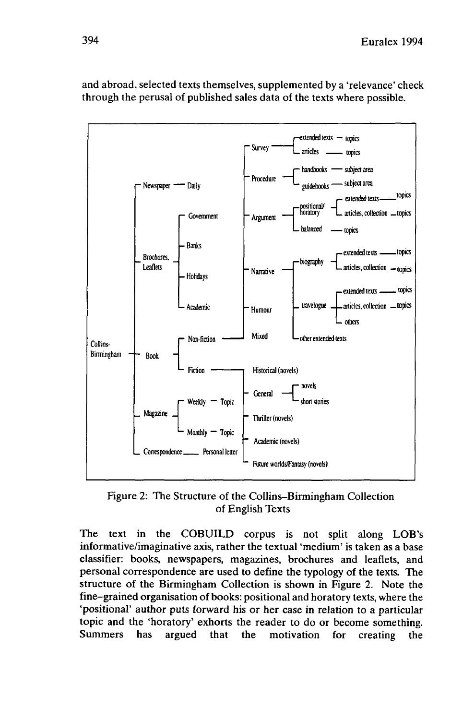

and abroad, selected texts themselves, supplemented by a 'relevance' check through the perusal of published sales data of the texts where possible.

Figure 2: The Structure of the Collins-Birmingham Collection of English Texts

The text in the COBUILD corpus is not split along LOB's informative/imaginative axis, rather the textual 'medium' is taken as a base classifier: books, newspapers, magazines, brochures and leaflets, and personal correspondence are used to define the typology of the texts. The structure of the Birmingham Collection is shown in Figure 2. Note the fine-grained organisation of books: positional and horatory texts, where the 'positional' author puts forward his or her case in relation to a particular topic and the 'horatory' exhorts the reader to do or become something. Summers has argued that the motivation for creating the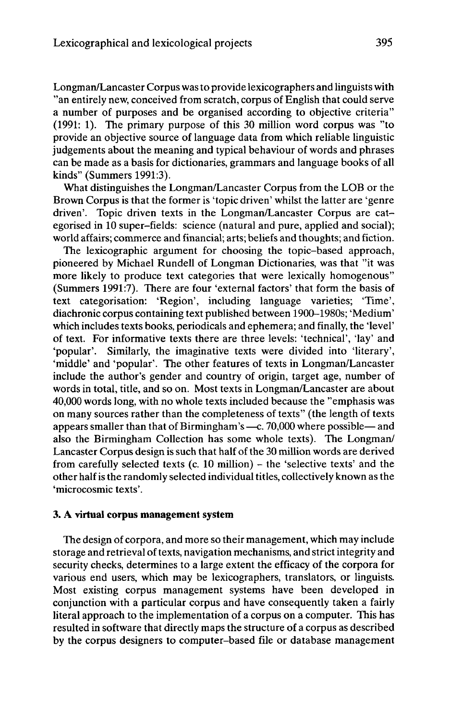Longman/Lancaster Corpus was to provide lexicographers and linguists with "an entirely new, conceived from scratch, corpus of English that could serve a number of purposes and be organised according to objective criteria" (1991: 1). The primary purpose of this 30 million word corpus was "to provide an objective source of language data from which reliable linguistic judgements about the meaning and typical behaviour of words and phrases can be made as a basis for dictionaries, grammars and language books of all kinds" (Summers 1991:3).

What distinguishes the Longman/Lancaster Corpus from the LOB or the Brown Corpus is that the former is 'topic driven' whilst the latter are 'genre driven'. Topic driven texts in the Longman/Lancaster Corpus are categorised in 10 super-fields: science (natural and pure, applied and social); world affairs; commerce and financial; arts; beliefs and thoughts; and fiction.

The lexicographic argument for choosing the topic-based approach, pioneered by Michael Rundell of Longman Dictionaries, was that "it was more likely to produce text categories that were lexically homogenous" (Summers 1991:7). There are four 'external factors' that form the basis of text categorisation: 'Region', including language varieties; 'Time', diachronic corpus containing text published between 1900-1980s; 'Medium' which includes texts books, periodicals and ephemera; and finally, the 'level' of text. For informative texts there are three levels: 'technical', 'lay' and 'popular'. Similarly, the imaginative texts were divided into 'literary', 'middle' and 'popular'. The other features of texts in Longman/Lancaster include the author's gender and country of origin, target age, number of words in total, title, and so on. Most texts in Longman/Lancaster are about 40,000 words long, with no whole texts included because the "emphasis was on many sources rather than the completeness of texts" (the length of texts<br>appears smaller than that of Birmingham's -c. 70,000 where possible-and also the Birmingham Collection has some whole texts). The Longman/ Lancaster Corpus design is such that half of the 30 million words are derived from carefully selected texts (c. <sup>10</sup> million) - the 'selective texts' and the other halfis the randomly selected individual titles, collectively known as the 'microcosmic texts'.

#### **3. A virtual corpus management system**

The design of corpora, and more so their management, which may include storage and retrieval of texts, navigation mechanisms, and strict integrity and security checks, determines to a large extent the efficacy of the corpora for various end users, which may be lexicographers, translators, or linguists. Most existing corpus management systems have been developed in conjunction with a particular corpus and have consequently taken a fairly literal approach to the implementation of a corpus on a computer. This has resulted in software that directly maps the structure of a corpus as described by the corpus designers to computer-based file or database management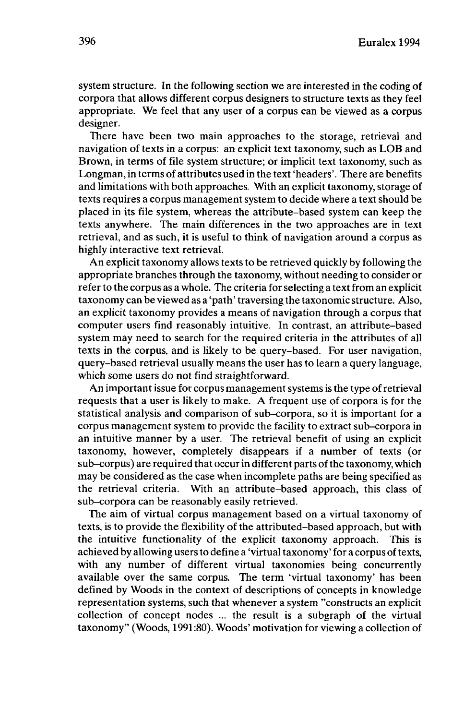system structure. In the following section we are interested in the coding of corpora that allows different corpus designers to structure texts as they feel appropriate. We feel that any user of a corpus can be viewed as a corpus designer.

There have been two main approaches to the storage, retrieval and navigation of texts in a corpus: an explicit text taxonomy, such as LOB and Brown, in terms of file system structure; or implicit text taxonomy, such as Longman, in terms of attributes used in the text 'headers'. There are benefits and limitations with both approaches. With an explicit taxonomy, storage of texts requires a corpus management system to decide where a text should be placed in its file system, whereas the attribute-based system can keep the texts anywhere. The main differences in the two approaches are in text retrieval, and as such, it is useful to think of navigation around a corpus as highly interactive text retrieval.

An explicit taxonomy allows texts to be retrieved quickly by following the appropriate branches through the taxonomy, without needing to consider or refer to the corpus as a whole. The criteria forselecting a text from an explicit taxonomy can be viewed as a 'path' traversing the taxonomic structure. Also, an explicit taxonomy provides a means of navigation through a corpus that computer users find reasonably intuitive. In contrast, an attribute-based system may need to search for the required criteria in the attributes of all texts in the corpus, and is likely to be query-based. For user navigation, query-based retrieval usually means the user has to learn a query language, which some users do not find straightforward.

An important issue for corpus management systems is the type of retrieval requests that a user is likely to make. A frequent use of corpora is for the statistical analysis and comparison of sub-corpora, so it is important for a corpus management system to provide the facility to extract sub-corpora in an intuitive manner by a user. The retrieval benefit of using an explicit taxonomy, however, completely disappears if a number of texts (or sub-corpus) are required that occur in different parts of the taxonomy, which may be considered as the case when incomplete paths are being specified as the retrieval criteria. With an attribute-based approach, this class of sub-corpora can be reasonably easily retrieved.

The aim of virtual corpus management based on a virtual taxonomy of texts, is to provide the flexibility of the attributed-based approach, but with the intuitive functionality of the explicit taxonomy approach. This is achieved by allowing users to define a 'virtual taxonomy' for a corpus of texts, with any number of different virtual taxonomies being concurrently available over the same corpus. The term 'virtual taxonomy' has been defined by Woods in the context of descriptions of concepts in knowledge representation systems, such that whenever a system "constructs an explicit collection of concept nodes ... the result is a subgraph of the virtual taxonomy" (Woods, 1991:80). Woods' motivation for viewing a collection of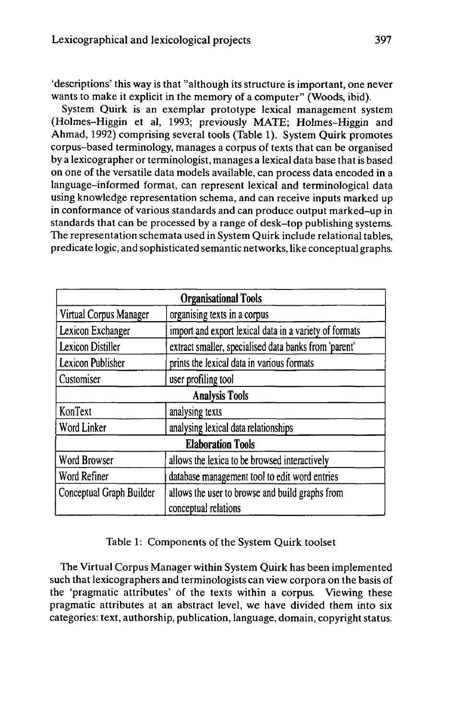'descriptions' this way is that "although its structure is important, one never wants to make it explicit in the memory of a computer" (Woods, ibid).

System Quirk is an exemplar prototype lexical management system (Holmes-Higgin et al, 1993; previously MATE; Holmes-Higgin and Ahmad, 1992) comprising several tools (Table 1). System Quirk promotes corpus-based terminology, manages a corpus of texts that can be organised by a lexicographer or terminologist, manages a lexical data base thatis based on one of the versatile data models available, can process data encoded in a language-informed format, can represent lexical and terminological data using knowledge representation schema, and can receive inputs marked up in conformance of various standards and can produce output marked-up in standards that can be processed by a range of desk-top publishing systems. The representation schemata used in System Quirk include relational tables, predicate logic, and sophisticated semantic networks, like conceptual graphs.

| <b>Organisational Tools</b> |                                                        |  |
|-----------------------------|--------------------------------------------------------|--|
| Virtual Corpus Manager      | organising texts in a corpus                           |  |
| Lexicon Exchanger           | import and export lexical data in a variety of formats |  |
| Lexicon Distiller           | extract smaller, specialised data banks from 'parent'  |  |
| Lexicon Publisher           | prints the lexical data in various formats             |  |
| Customiser                  | user profiling tool                                    |  |
| <b>Analysis Tools</b>       |                                                        |  |
| KonText                     | analysing texts                                        |  |
| Word Linker                 | analysing lexical data relationships                   |  |
| <b>Elaboration Tools</b>    |                                                        |  |
| Word Browser                | allows the lexica to be browsed interactively          |  |
| Word Refiner                | database management tool to edit word entries          |  |
| Conceptual Graph Builder    | allows the user to browse and build graphs from        |  |
|                             | conceptual relations                                   |  |

Table 1: Components of the System Quirk toolset

The Virtual Corpus Manager within System Quirk has been implemented such that lexicographers and terminologists can view corpora on the basis of the 'pragmatic attributes' of the texts within a corpus. Viewing these pragmatic attributes at an abstract level, we have divided them into six categories: text, authorship, publication, language, domain, copyright status.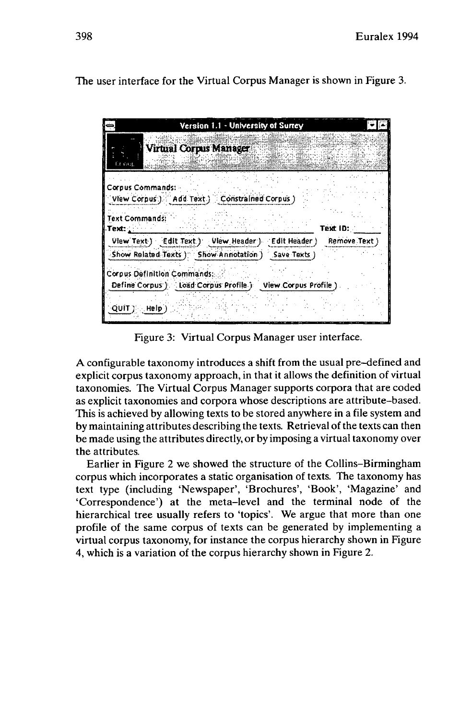The user interface for the Virtual Corpus Manager is shown in Figure 3.

| Version 1.1 - University of Surrey<br>۳<br><b>Virtual Corpus Manager</b><br>Er nog                                                                          |                           |
|-------------------------------------------------------------------------------------------------------------------------------------------------------------|---------------------------|
| Corpus Commands: -<br>View Corpus ) Add Text ) Constrained Corpus )                                                                                         |                           |
| Text Commands:<br>Text: : :<br>View Text ) Edit Text ) View Header ) Edit Header )                                                                          | Text ID:<br>Remove Text ) |
| Show Related Texts ) Show Annotation ) Save Texts )<br><b>Corpus Definition Commands:</b><br>Define Corpus ). Load Corpus Profile ). View Corpus Profile ). |                           |
| QUIT }}}. Help:                                                                                                                                             |                           |

Figure 3: Virtual Corpus Manager user interface.

A configurable taxonomy introduces a shift from the usual pre-defined and explicit corpus taxonomy approach, in that it allows the definition of virtual taxonomies. The Virtual Corpus Manager supports corpora that are coded as explicit taxonomies and corpora whose descriptions are attribute-based. This is achieved by allowing texts to be stored anywhere in a file system and by maintaining attributes describing the texts. Retrieval of the texts can then be made using the attributes directly, or by imposing a virtual taxonomy over the attributes.

Earlier in Figure 2 we showed the structure of the Collins-Birmingham corpus which incorporates a static organisation of texts. The taxonomy has text type (including 'Newspaper', 'Brochures', 'Book', 'Magazine' and 'Correspondence') at the meta-level and the terminal node of the hierarchical tree usually refers to 'topics'. We argue that more than one profile of the same corpus of texts can be generated by implementing a virtual corpus taxonomy, for instance the corpus hierarchy shown in Figure 4, which is a variation of the corpus hierarchy shown in Figure 2.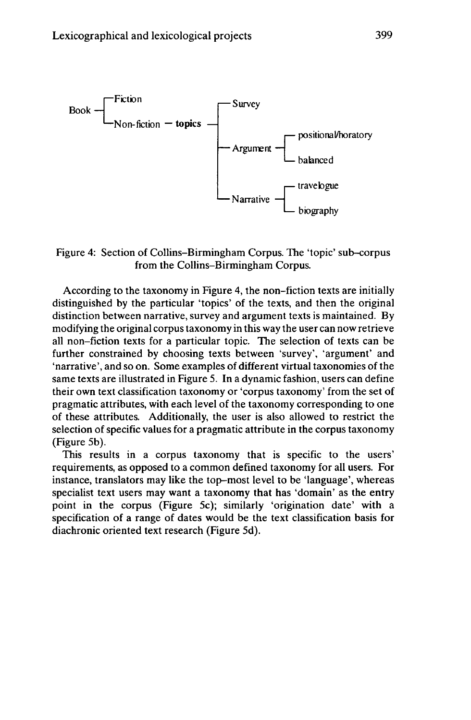

# Figure 4: Section of Collins-Birmingham Corpus. The 'topic' sub-corpus from the Collins-Birmingham Corpus.

According to the taxonomy in Figure 4, the non-fiction texts are initially distinguished by the particular 'topics' of the texts, and then the original distinction between narrative, survey and argument texts is maintained. By modifying the original corpus taxonomy in this way the user can now retrieve all non-fiction texts for a particular topic. The selection of texts can be further constrained by choosing texts between 'survey', 'argument' and 'narrative', and so on. Some examples of different virtual taxonomies of the same texts are illustrated in Figure 5. In a dynamic fashion, users can define their own text classification taxonomy or 'corpus taxonomy' from the set of pragmatic attributes, with each level of the taxonomy corresponding to one of these attributes. Additionally, the user is also allowed to restrict the selection of specific values for a pragmatic attribute in the corpus taxonomy (Figure 5b).

This results in a corpus taxonomy that is specific to the users' requirements, as opposed to a common defined taxonomy for all users. For instance, translators may like the top-most level to be 'language', whereas specialist text users may want a taxonomy that has 'domain' as the entry point in the corpus (Figure 5c); similarly 'origination date' with a specification of a range of dates would be the text classification basis for diachronic oriented text research (Figure 5d).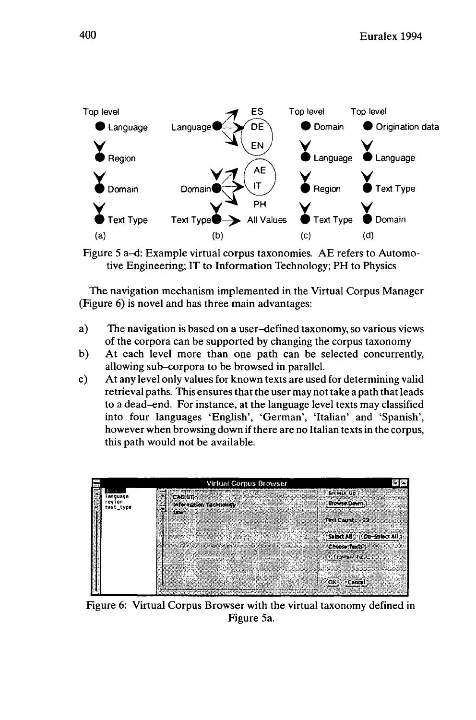

Figure 5 a-d: Example virtual corpus taxonomies. AE refers to Automotive Engineering; IT to Information Technology; PH to Physics

The navigation mechanism implemented in the Virtual Corpus Manager (Figure 6) is novel and has three main advantages:

- a) The navigation is based on a user-defined taxonomy, so various views of the corpora can be supported by changing the corpus taxonomy
- b) At each level more than one path can be selected concurrently, allowing sub-corpora to be browsed in parallel.
- c) At any level only valuesfor known texts are used for determining valid retrieval paths. This ensures that the user may not take a path that leads to a dead-end. For instance, at the language level texts may classified into four languages 'English', 'German', 'Italian' and 'Spanish', however when browsing down if there are no Italian texts in the corpus, this path would not be available.



Figure 6: Virtual Corpus Browser with the virtual taxonomy defined in Figure 5a.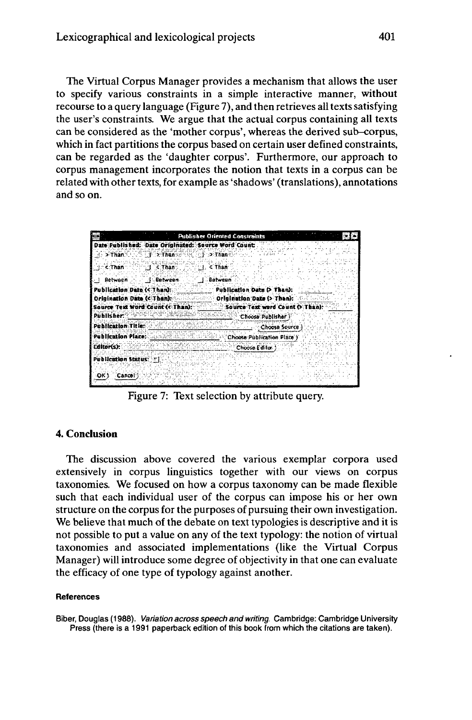The Virtual Corpus Manager provides a mechanism that allows the user to specify various constraints in a simple interactive manner, without recourse to a query language (Figure 7), and then retrieves all texts satisfying the user's constraints. We argue that the actual corpus containing all texts can be considered as the 'mother corpus', whereas the derived sub-corpus, which in fact partitions the corpus based on certain user defined constraints, can be regarded as the 'daughter corpus'. Furthermore, our approach to corpus management incorporates the notion that texts in a corpus can be related with other texts, for example as 'shadows' (translations), annotations and so on.

|                        | <b>Publisher Oriented Constraints</b>                                  |
|------------------------|------------------------------------------------------------------------|
|                        | Date Published: Date Originated: Source Word Count:                    |
| .⊙ > Than              | <b>Sixthan Second Dinance</b><br>1.4244                                |
|                        | c Than C C C Than C C Than                                             |
|                        | - Retwaen - J Batween J Batween                                        |
|                        | Publication Date (< Than): The Publication Date (> Than):              |
|                        | Origination Date (CThan): Contained Origination Date (> Thank: Contain |
|                        | Source Text Word Count (< Than): Source Text word Count (> Than):      |
|                        | Publisher: New York Company and Many Management Choose Publisher 1     |
|                        | Publication Title: ANGLACO COMPANY<br>Choose Source                    |
|                        | Publication Place: Alexander Contractor<br>Choose Publication Place )  |
| Editor(s):             | Choose Editor.                                                         |
| Publication Status: TT |                                                                        |
|                        |                                                                        |
| Cancel<br>ок:          |                                                                        |
|                        |                                                                        |

Figure 7: Text selection by attribute query.

### **4. Conclusion**

The discussion above covered the various exemplar corpora used extensively in corpus linguistics together with our views on corpus taxonomies. We focused on how a corpus taxonomy can be made flexible such that each individual user of the corpus can impose his or her own structure on the corpus for the purposes of pursuing their own investigation. We believe that much of the debate on text typologies is descriptive and it is not possible to put a value on any of the text typology: the notion of virtual taxonomies and associated implementations (like the Virtual Corpus Manager) will introduce some degree of objectivity in that one can evaluate the efficacy of one type of typology against another.

#### **References**

Biber, Douglas (1988). Variation across speech and writing. Cambridge: Cambridge University Press (there is a 1991 paperback edition of this book from which the citations are taken).